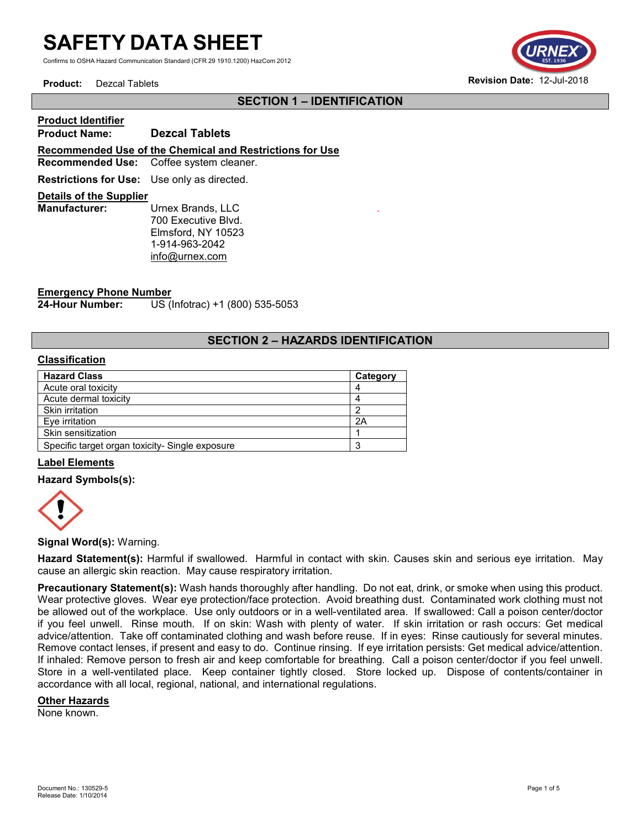Confirms to OSHA Hazard Communication Standard (CFR 29 1910.1200) HazCom 2012



# **SECTION 1 – IDENTIFICATION**

.

# **Product Identifier Product Name: Dezcal Tablets Recommended Use of the Chemical and Restrictions for Use Recommended Use:** Coffee system cleaner. **Restrictions for Use:** Use only as directed. **Details of the Supplier Urnex Brands, LLC**

700 Executive Blvd. Elmsford, NY 10523 1-914-963-2042 [info@urnex.com](mailto:info@urnex.com)

# **Emergency Phone Number**

**24-Hour Number:** US (Infotrac) +1 (800) 535-5053

# **SECTION 2 – HAZARDS IDENTIFICATION**

## **Classification**

| <b>Hazard Class</b>                             | Category |
|-------------------------------------------------|----------|
| Acute oral toxicity                             |          |
| Acute dermal toxicity                           |          |
| Skin irritation                                 |          |
| Eve irritation                                  | 2A       |
| Skin sensitization                              |          |
| Specific target organ toxicity- Single exposure |          |

#### **Label Elements**

#### **Hazard Symbols(s):**



#### **Signal Word(s):** Warning.

**Hazard Statement(s):** Harmful if swallowed. Harmful in contact with skin. Causes skin and serious eye irritation. May cause an allergic skin reaction. May cause respiratory irritation.

**Precautionary Statement(s):** Wash hands thoroughly after handling. Do not eat, drink, or smoke when using this product. Wear protective gloves. Wear eye protection/face protection. Avoid breathing dust. Contaminated work clothing must not be allowed out of the workplace. Use only outdoors or in a well-ventilated area. If swallowed: Call a poison center/doctor if you feel unwell. Rinse mouth. If on skin: Wash with plenty of water. If skin irritation or rash occurs: Get medical advice/attention. Take off contaminated clothing and wash before reuse. If in eyes: Rinse cautiously for several minutes. Remove contact lenses, if present and easy to do. Continue rinsing. If eye irritation persists: Get medical advice/attention. If inhaled: Remove person to fresh air and keep comfortable for breathing. Call a poison center/doctor if you feel unwell. Store in a well-ventilated place. Keep container tightly closed. Store locked up. Dispose of contents/container in accordance with all local, regional, national, and international regulations.

#### **Other Hazards**

None known.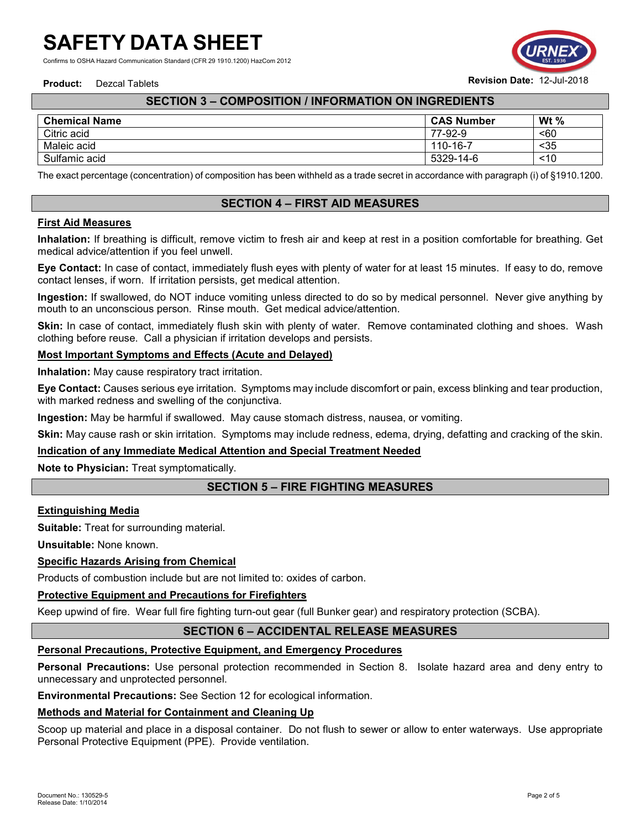Confirms to OSHA Hazard Communication Standard (CFR 29 1910.1200) HazCom 2012



# **SECTION 3 – COMPOSITION / INFORMATION ON INGREDIENTS**

| <b>Chemical Name</b> | <b>CAS Number</b> | Wt $%$ |
|----------------------|-------------------|--------|
| Citric acid          | 77-92-9           | $60$   |
| Maleic acid          | 110-16-7          | $35$   |
| Sulfamic acid        | 5329-14-6         | ~10    |

The exact percentage (concentration) of composition has been withheld as a trade secret in accordance with paragraph (i) of §1910.1200.

# **SECTION 4 – FIRST AID MEASURES**

### **First Aid Measures**

**Inhalation:** If breathing is difficult, remove victim to fresh air and keep at rest in a position comfortable for breathing. Get medical advice/attention if you feel unwell.

**Eye Contact:** In case of contact, immediately flush eyes with plenty of water for at least 15 minutes. If easy to do, remove contact lenses, if worn. If irritation persists, get medical attention.

**Ingestion:** If swallowed, do NOT induce vomiting unless directed to do so by medical personnel. Never give anything by mouth to an unconscious person. Rinse mouth. Get medical advice/attention.

**Skin:** In case of contact, immediately flush skin with plenty of water. Remove contaminated clothing and shoes. Wash clothing before reuse. Call a physician if irritation develops and persists.

#### **Most Important Symptoms and Effects (Acute and Delayed)**

**Inhalation:** May cause respiratory tract irritation.

**Eye Contact:** Causes serious eye irritation. Symptoms may include discomfort or pain, excess blinking and tear production, with marked redness and swelling of the conjunctiva.

**Ingestion:** May be harmful if swallowed. May cause stomach distress, nausea, or vomiting.

**Skin:** May cause rash or skin irritation. Symptoms may include redness, edema, drying, defatting and cracking of the skin.

#### **Indication of any Immediate Medical Attention and Special Treatment Needed**

**Note to Physician:** Treat symptomatically.

# **SECTION 5 – FIRE FIGHTING MEASURES**

#### **Extinguishing Media**

**Suitable:** Treat for surrounding material.

**Unsuitable:** None known.

## **Specific Hazards Arising from Chemical**

Products of combustion include but are not limited to: oxides of carbon.

## **Protective Equipment and Precautions for Firefighters**

Keep upwind of fire. Wear full fire fighting turn-out gear (full Bunker gear) and respiratory protection (SCBA).

# **SECTION 6 – ACCIDENTAL RELEASE MEASURES**

## **Personal Precautions, Protective Equipment, and Emergency Procedures**

**Personal Precautions:** Use personal protection recommended in Section 8. Isolate hazard area and deny entry to unnecessary and unprotected personnel.

**Environmental Precautions:** See Section 12 for ecological information.

## **Methods and Material for Containment and Cleaning Up**

Scoop up material and place in a disposal container. Do not flush to sewer or allow to enter waterways. Use appropriate Personal Protective Equipment (PPE). Provide ventilation.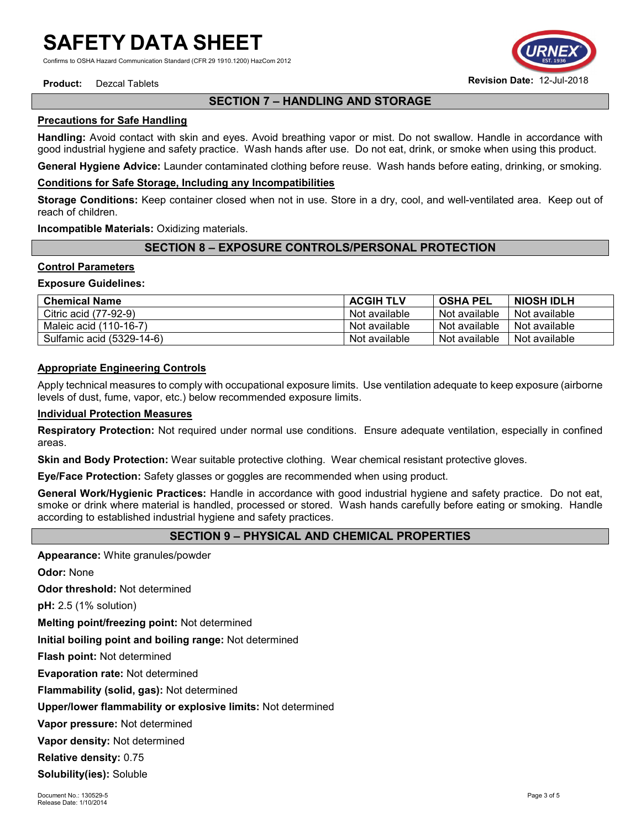Confirms to OSHA Hazard Communication Standard (CFR 29 1910.1200) HazCom 2012

# **SECTION 7 – HANDLING AND STORAGE**

## **Precautions for Safe Handling**

**Handling:** Avoid contact with skin and eyes. Avoid breathing vapor or mist. Do not swallow. Handle in accordance with good industrial hygiene and safety practice. Wash hands after use. Do not eat, drink, or smoke when using this product.

**General Hygiene Advice:** Launder contaminated clothing before reuse. Wash hands before eating, drinking, or smoking.

#### **Conditions for Safe Storage, Including any Incompatibilities**

**Storage Conditions:** Keep container closed when not in use. Store in a dry, cool, and well-ventilated area. Keep out of reach of children.

**Incompatible Materials:** Oxidizing materials.

# **SECTION 8 – EXPOSURE CONTROLS/PERSONAL PROTECTION**

#### **Control Parameters**

#### **Exposure Guidelines:**

| <b>Chemical Name</b>      | <b>ACGIH TLV</b> | <b>OSHA PEL</b> | <b>NIOSH IDLH</b> |
|---------------------------|------------------|-----------------|-------------------|
| Citric acid (77-92-9)     | Not available    | Not available   | Not available     |
| Maleic acid (110-16-7)    | Not available    | Not available   | Not available     |
| Sulfamic acid (5329-14-6) | Not available    | Not available   | Not available     |

### **Appropriate Engineering Controls**

Apply technical measures to comply with occupational exposure limits. Use ventilation adequate to keep exposure (airborne levels of dust, fume, vapor, etc.) below recommended exposure limits.

#### **Individual Protection Measures**

**Respiratory Protection:** Not required under normal use conditions. Ensure adequate ventilation, especially in confined areas.

**Skin and Body Protection:** Wear suitable protective clothing. Wear chemical resistant protective gloves.

**Eye/Face Protection:** Safety glasses or goggles are recommended when using product.

**General Work/Hygienic Practices:** Handle in accordance with good industrial hygiene and safety practice. Do not eat, smoke or drink where material is handled, processed or stored. Wash hands carefully before eating or smoking. Handle according to established industrial hygiene and safety practices.

## **SECTION 9 – PHYSICAL AND CHEMICAL PROPERTIES**

**Appearance:** White granules/powder

**Odor:** None

**Odor threshold:** Not determined

**pH:** 2.5 (1% solution)

**Melting point/freezing point:** Not determined

**Initial boiling point and boiling range:** Not determined

**Flash point:** Not determined

**Evaporation rate:** Not determined

**Flammability (solid, gas):** Not determined

**Upper/lower flammability or explosive limits:** Not determined

**Vapor pressure:** Not determined

**Vapor density:** Not determined

**Relative density:** 0.75

**Solubility(ies):** Soluble

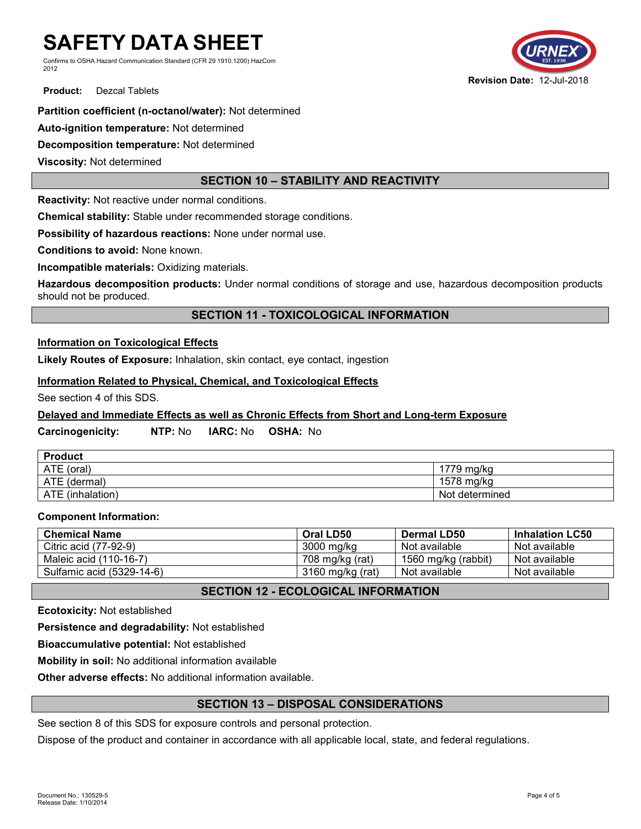Confirms to OSHA Hazard Communication Standard (CFR 29 1910.1200) HazCom 2012



**Product:** Dezcal Tablets

## **Partition coefficient (n-octanol/water):** Not determined

**Auto-ignition temperature:** Not determined

**Decomposition temperature:** Not determined

**Viscosity:** Not determined

# **SECTION 10 – STABILITY AND REACTIVITY**

**Reactivity:** Not reactive under normal conditions.

**Chemical stability:** Stable under recommended storage conditions.

**Possibility of hazardous reactions:** None under normal use.

**Conditions to avoid:** None known.

**Incompatible materials:** Oxidizing materials.

**Hazardous decomposition products:** Under normal conditions of storage and use, hazardous decomposition products should not be produced.

## **SECTION 11 - TOXICOLOGICAL INFORMATION**

## **Information on Toxicological Effects**

**Likely Routes of Exposure:** Inhalation, skin contact, eye contact, ingestion

#### **Information Related to Physical, Chemical, and Toxicological Effects**

See section 4 of this SDS.

## **Delayed and Immediate Effects as well as Chronic Effects from Short and Long-term Exposure**

## **Carcinogenicity: NTP:** No **IARC:** No **OSHA:** No

| <b>Product</b>   |                |
|------------------|----------------|
| ATE (oral)       | 1779 mg/kg     |
| ATE (dermal)     | 1578 mg/kg     |
| ATE (inhalation) | Not determined |

#### **Component Information:**

| <b>Chemical Name</b>      | Oral LD50        | <b>Dermal LD50</b>  | <b>Inhalation LC50</b> |
|---------------------------|------------------|---------------------|------------------------|
| Citric acid (77-92-9)     | 3000 mg/kg       | Not available       | Not available          |
| Maleic acid (110-16-7)    | 708 mg/kg (rat)  | 1560 mg/kg (rabbit) | Not available          |
| Sulfamic acid (5329-14-6) | 3160 mg/kg (rat) | Not available       | Not available          |

# **SECTION 12 - ECOLOGICAL INFORMATION**

**Ecotoxicity:** Not established

**Persistence and degradability:** Not established

**Bioaccumulative potential:** Not established

**Mobility in soil:** No additional information available

**Other adverse effects:** No additional information available.

## **SECTION 13 – DISPOSAL CONSIDERATIONS**

See section 8 of this SDS for exposure controls and personal protection.

Dispose of the product and container in accordance with all applicable local, state, and federal regulations.